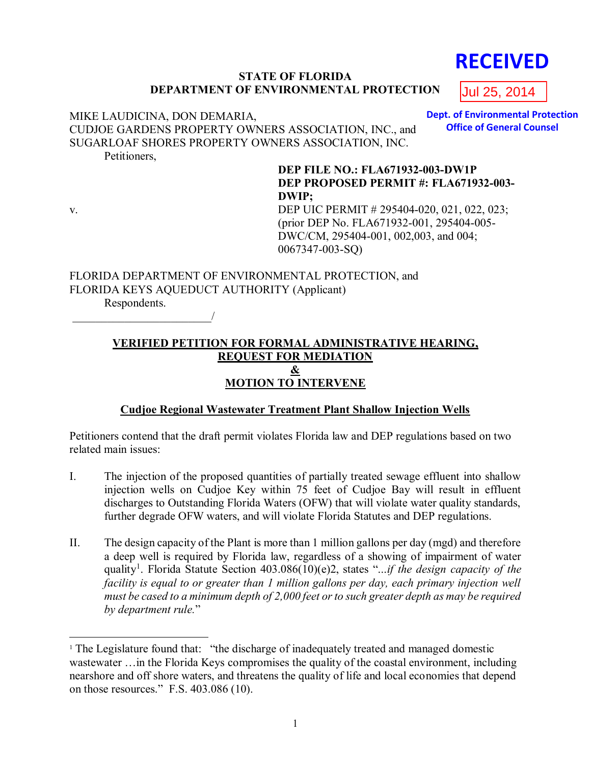# **STATE OF FLORIDA DEPARTMENT OF ENVIRONMENTAL PROTECTION**

#### MIKE LAUDICINA, DON DEMARIA, CUDJOE GARDENS PROPERTY OWNERS ASSOCIATION, INC., and SUGARLOAF SHORES PROPERTY OWNERS ASSOCIATION, INC. **Dept. of Environmental Protection**

Petitioners,

# **DEP FILE NO.: FLA671932-003-DW1P DEP PROPOSED PERMIT #: FLA671932-003- DWIP;**

 $\overline{a}$ 

v. DEP UIC PERMIT # 295404-020, 021, 022, 023; (prior DEP No. FLA671932-001, 295404-005- DWC/CM, 295404-001, 002,003, and 004; 0067347-003-SQ)

FLORIDA DEPARTMENT OF ENVIRONMENTAL PROTECTION, and FLORIDA KEYS AQUEDUCT AUTHORITY (Applicant) Respondents.

\_\_\_\_\_\_\_\_\_\_\_\_\_\_\_\_\_\_\_\_\_\_\_\_/

# **VERIFIED PETITION FOR FORMAL ADMINISTRATIVE HEARING, REQUEST FOR MEDIATION & MOTION TO INTERVENE**

# **Cudjoe Regional Wastewater Treatment Plant Shallow Injection Wells**

Petitioners contend that the draft permit violates Florida law and DEP regulations based on two related main issues:

- I. The injection of the proposed quantities of partially treated sewage effluent into shallow injection wells on Cudjoe Key within 75 feet of Cudjoe Bay will result in effluent discharges to Outstanding Florida Waters (OFW) that will violate water quality standards, further degrade OFW waters, and will violate Florida Statutes and DEP regulations.
- II. The design capacity of the Plant is more than 1 million gallons per day (mgd) and therefore a deep well is required by Florida law, regardless of a showing of impairment of water quality<sup>1</sup>. Florida Statute Section 403.086(10)(e)2, states "...*if the design capacity of the facility is equal to or greater than 1 million gallons per day, each primary injection well must be cased to a minimum depth of 2,000 feet or to such greater depth as may be required by department rule.*"

**RECEIVED**

**Office of General Counsel**

Jul 25, 2014

<sup>&</sup>lt;sup>1</sup> The Legislature found that: "the discharge of inadequately treated and managed domestic wastewater …in the Florida Keys compromises the quality of the coastal environment, including nearshore and off shore waters, and threatens the quality of life and local economies that depend on those resources." F.S. 403.086 (10).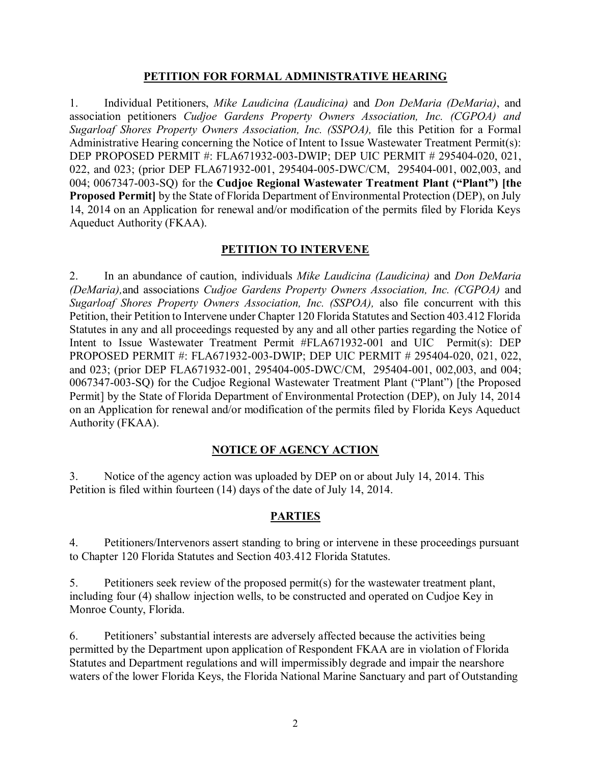## **PETITION FOR FORMAL ADMINISTRATIVE HEARING**

1. Individual Petitioners, *Mike Laudicina (Laudicina)* and *Don DeMaria (DeMaria)*, and association petitioners *Cudjoe Gardens Property Owners Association, Inc. (CGPOA) and Sugarloaf Shores Property Owners Association, Inc. (SSPOA), file this Petition for a Formal* Administrative Hearing concerning the Notice of Intent to Issue Wastewater Treatment Permit(s): DEP PROPOSED PERMIT #: FLA671932-003-DWIP; DEP UIC PERMIT # 295404-020, 021, 022, and 023; (prior DEP FLA671932-001, 295404-005-DWC/CM, 295404-001, 002,003, and 004; 0067347-003-SQ) for the **Cudjoe Regional Wastewater Treatment Plant ("Plant") [the Proposed Permit]** by the State of Florida Department of Environmental Protection (DEP), on July 14, 2014 on an Application for renewal and/or modification of the permits filed by Florida Keys Aqueduct Authority (FKAA).

## **PETITION TO INTERVENE**

2. In an abundance of caution, individuals *Mike Laudicina (Laudicina)* and *Don DeMaria (DeMaria),*and associations *Cudjoe Gardens Property Owners Association, Inc. (CGPOA)* and *Sugarloaf Shores Property Owners Association, Inc. (SSPOA), also file concurrent with this* Petition, their Petition to Intervene under Chapter 120 Florida Statutes and Section 403.412 Florida Statutes in any and all proceedings requested by any and all other parties regarding the Notice of Intent to Issue Wastewater Treatment Permit #FLA671932-001 and UIC Permit(s): DEP PROPOSED PERMIT #: FLA671932-003-DWIP; DEP UIC PERMIT # 295404-020, 021, 022, and 023; (prior DEP FLA671932-001, 295404-005-DWC/CM, 295404-001, 002,003, and 004; 0067347-003-SQ) for the Cudjoe Regional Wastewater Treatment Plant ("Plant") [the Proposed Permit] by the State of Florida Department of Environmental Protection (DEP), on July 14, 2014 on an Application for renewal and/or modification of the permits filed by Florida Keys Aqueduct Authority (FKAA).

# **NOTICE OF AGENCY ACTION**

3. Notice of the agency action was uploaded by DEP on or about July 14, 2014. This Petition is filed within fourteen (14) days of the date of July 14, 2014.

# **PARTIES**

4. Petitioners/Intervenors assert standing to bring or intervene in these proceedings pursuant to Chapter 120 Florida Statutes and Section 403.412 Florida Statutes.

5. Petitioners seek review of the proposed permit(s) for the wastewater treatment plant, including four (4) shallow injection wells, to be constructed and operated on Cudjoe Key in Monroe County, Florida.

6. Petitioners' substantial interests are adversely affected because the activities being permitted by the Department upon application of Respondent FKAA are in violation of Florida Statutes and Department regulations and will impermissibly degrade and impair the nearshore waters of the lower Florida Keys, the Florida National Marine Sanctuary and part of Outstanding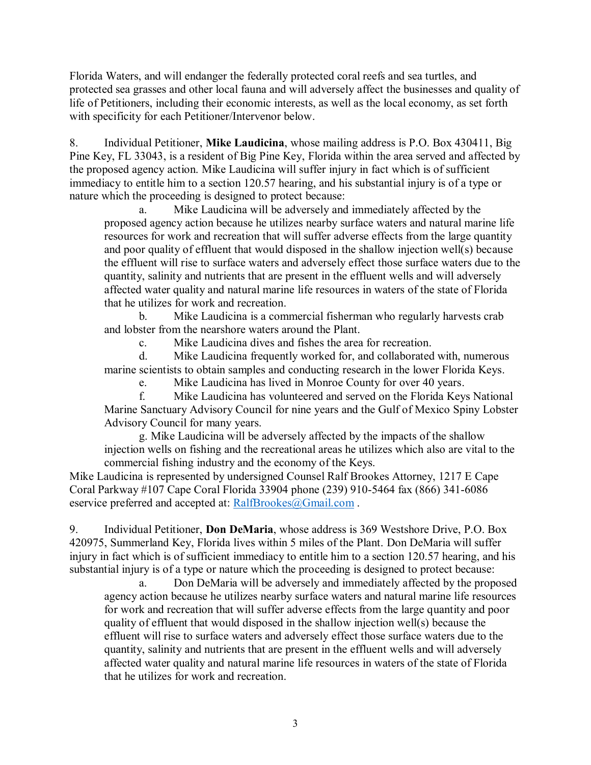Florida Waters, and will endanger the federally protected coral reefs and sea turtles, and protected sea grasses and other local fauna and will adversely affect the businesses and quality of life of Petitioners, including their economic interests, as well as the local economy, as set forth with specificity for each Petitioner/Intervenor below.

8. Individual Petitioner, **Mike Laudicina**, whose mailing address is P.O. Box 430411, Big Pine Key, FL 33043, is a resident of Big Pine Key, Florida within the area served and affected by the proposed agency action. Mike Laudicina will suffer injury in fact which is of sufficient immediacy to entitle him to a section 120.57 hearing, and his substantial injury is of a type or nature which the proceeding is designed to protect because:

a. Mike Laudicina will be adversely and immediately affected by the proposed agency action because he utilizes nearby surface waters and natural marine life resources for work and recreation that will suffer adverse effects from the large quantity and poor quality of effluent that would disposed in the shallow injection well(s) because the effluent will rise to surface waters and adversely effect those surface waters due to the quantity, salinity and nutrients that are present in the effluent wells and will adversely affected water quality and natural marine life resources in waters of the state of Florida that he utilizes for work and recreation.

b. Mike Laudicina is a commercial fisherman who regularly harvests crab and lobster from the nearshore waters around the Plant.

c. Mike Laudicina dives and fishes the area for recreation.

d. Mike Laudicina frequently worked for, and collaborated with, numerous marine scientists to obtain samples and conducting research in the lower Florida Keys.

e. Mike Laudicina has lived in Monroe County for over 40 years.

f. Mike Laudicina has volunteered and served on the Florida Keys National Marine Sanctuary Advisory Council for nine years and the Gulf of Mexico Spiny Lobster Advisory Council for many years.

g. Mike Laudicina will be adversely affected by the impacts of the shallow injection wells on fishing and the recreational areas he utilizes which also are vital to the commercial fishing industry and the economy of the Keys.

Mike Laudicina is represented by undersigned Counsel Ralf Brookes Attorney, 1217 E Cape Coral Parkway #107 Cape Coral Florida 33904 phone (239) 910-5464 fax (866) 341-6086 eservice preferred and accepted at: [RalfBrookes@Gmail.com](mailto:RalfBrookes@Gmail.com).

9. Individual Petitioner, **Don DeMaria**, whose address is 369 Westshore Drive, P.O. Box 420975, Summerland Key, Florida lives within 5 miles of the Plant. Don DeMaria will suffer injury in fact which is of sufficient immediacy to entitle him to a section 120.57 hearing, and his substantial injury is of a type or nature which the proceeding is designed to protect because:

a. Don DeMaria will be adversely and immediately affected by the proposed agency action because he utilizes nearby surface waters and natural marine life resources for work and recreation that will suffer adverse effects from the large quantity and poor quality of effluent that would disposed in the shallow injection well(s) because the effluent will rise to surface waters and adversely effect those surface waters due to the quantity, salinity and nutrients that are present in the effluent wells and will adversely affected water quality and natural marine life resources in waters of the state of Florida that he utilizes for work and recreation.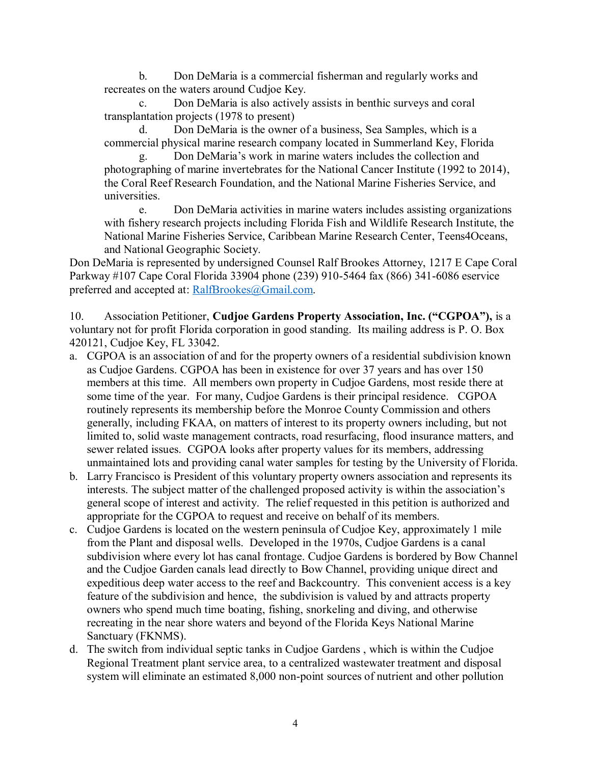b. Don DeMaria is a commercial fisherman and regularly works and recreates on the waters around Cudjoe Key.

c. Don DeMaria is also actively assists in benthic surveys and coral transplantation projects (1978 to present)

d. Don DeMaria is the owner of a business, Sea Samples, which is a commercial physical marine research company located in Summerland Key, Florida

g. Don DeMaria's work in marine waters includes the collection and photographing of marine invertebrates for the National Cancer Institute (1992 to 2014), the Coral Reef Research Foundation, and the National Marine Fisheries Service, and universities.

e. Don DeMaria activities in marine waters includes assisting organizations with fishery research projects including Florida Fish and Wildlife Research Institute, the National Marine Fisheries Service, Caribbean Marine Research Center, Teens4Oceans, and National Geographic Society.

Don DeMaria is represented by undersigned Counsel Ralf Brookes Attorney, 1217 E Cape Coral Parkway #107 Cape Coral Florida 33904 phone (239) 910-5464 fax (866) 341-6086 eservice preferred and accepted at: [RalfBrookes@Gmail.com.](mailto:RalfBrookes@Gmail.com)

10. Association Petitioner, **Cudjoe Gardens Property Association, Inc. ("CGPOA"),** is a voluntary not for profit Florida corporation in good standing. Its mailing address is P. O. Box 420121, Cudjoe Key, FL 33042.

- a. CGPOA is an association of and for the property owners of a residential subdivision known as Cudjoe Gardens. CGPOA has been in existence for over 37 years and has over 150 members at this time. All members own property in Cudjoe Gardens, most reside there at some time of the year. For many, Cudjoe Gardens is their principal residence. CGPOA routinely represents its membership before the Monroe County Commission and others generally, including FKAA, on matters of interest to its property owners including, but not limited to, solid waste management contracts, road resurfacing, flood insurance matters, and sewer related issues. CGPOA looks after property values for its members, addressing unmaintained lots and providing canal water samples for testing by the University of Florida.
- b. Larry Francisco is President of this voluntary property owners association and represents its interests. The subject matter of the challenged proposed activity is within the association's general scope of interest and activity. The relief requested in this petition is authorized and appropriate for the CGPOA to request and receive on behalf of its members.
- c. Cudjoe Gardens is located on the western peninsula of Cudjoe Key, approximately 1 mile from the Plant and disposal wells. Developed in the 1970s, Cudjoe Gardens is a canal subdivision where every lot has canal frontage. Cudjoe Gardens is bordered by Bow Channel and the Cudjoe Garden canals lead directly to Bow Channel, providing unique direct and expeditious deep water access to the reef and Backcountry. This convenient access is a key feature of the subdivision and hence, the subdivision is valued by and attracts property owners who spend much time boating, fishing, snorkeling and diving, and otherwise recreating in the near shore waters and beyond of the Florida Keys National Marine Sanctuary (FKNMS).
- d. The switch from individual septic tanks in Cudjoe Gardens , which is within the Cudjoe Regional Treatment plant service area, to a centralized wastewater treatment and disposal system will eliminate an estimated 8,000 non-point sources of nutrient and other pollution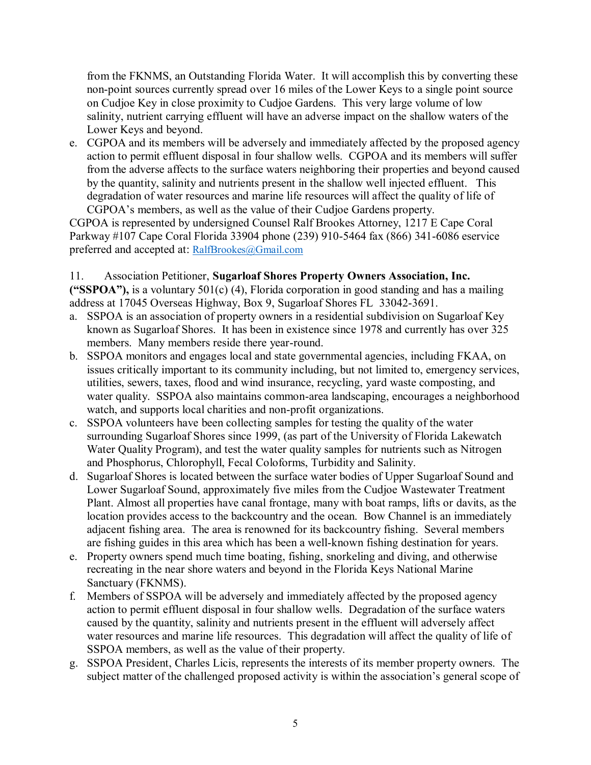from the FKNMS, an Outstanding Florida Water. It will accomplish this by converting these non-point sources currently spread over 16 miles of the Lower Keys to a single point source on Cudjoe Key in close proximity to Cudjoe Gardens. This very large volume of low salinity, nutrient carrying effluent will have an adverse impact on the shallow waters of the Lower Keys and beyond.

e. CGPOA and its members will be adversely and immediately affected by the proposed agency action to permit effluent disposal in four shallow wells. CGPOA and its members will suffer from the adverse affects to the surface waters neighboring their properties and beyond caused by the quantity, salinity and nutrients present in the shallow well injected effluent. This degradation of water resources and marine life resources will affect the quality of life of CGPOA's members, as well as the value of their Cudjoe Gardens property.

CGPOA is represented by undersigned Counsel Ralf Brookes Attorney, 1217 E Cape Coral Parkway #107 Cape Coral Florida 33904 phone (239) 910-5464 fax (866) 341-6086 eservice preferred and accepted at: [RalfBrookes@Gmail.com](mailto:RalfBrookes@Gmail.com)

# 11. Association Petitioner, **Sugarloaf Shores Property Owners Association, Inc.**

**("SSPOA"),** is a voluntary 501(c) (4), Florida corporation in good standing and has a mailing address at 17045 Overseas Highway, Box 9, Sugarloaf Shores FL 33042-3691.

- a. SSPOA is an association of property owners in a residential subdivision on Sugarloaf Key known as Sugarloaf Shores. It has been in existence since 1978 and currently has over 325 members. Many members reside there year-round.
- b. SSPOA monitors and engages local and state governmental agencies, including FKAA, on issues critically important to its community including, but not limited to, emergency services, utilities, sewers, taxes, flood and wind insurance, recycling, yard waste composting, and water quality. SSPOA also maintains common-area landscaping, encourages a neighborhood watch, and supports local charities and non-profit organizations.
- c. SSPOA volunteers have been collecting samples for testing the quality of the water surrounding Sugarloaf Shores since 1999, (as part of the University of Florida Lakewatch Water Quality Program), and test the water quality samples for nutrients such as Nitrogen and Phosphorus, Chlorophyll, Fecal Coloforms, Turbidity and Salinity.
- d. Sugarloaf Shores is located between the surface water bodies of Upper Sugarloaf Sound and Lower Sugarloaf Sound, approximately five miles from the Cudjoe Wastewater Treatment Plant. Almost all properties have canal frontage, many with boat ramps, lifts or davits, as the location provides access to the backcountry and the ocean. Bow Channel is an immediately adjacent fishing area. The area is renowned for its backcountry fishing. Several members are fishing guides in this area which has been a well-known fishing destination for years.
- e. Property owners spend much time boating, fishing, snorkeling and diving, and otherwise recreating in the near shore waters and beyond in the Florida Keys National Marine Sanctuary (FKNMS).
- f. Members of SSPOA will be adversely and immediately affected by the proposed agency action to permit effluent disposal in four shallow wells. Degradation of the surface waters caused by the quantity, salinity and nutrients present in the effluent will adversely affect water resources and marine life resources. This degradation will affect the quality of life of SSPOA members, as well as the value of their property.
- g. SSPOA President, Charles Licis, represents the interests of its member property owners. The subject matter of the challenged proposed activity is within the association's general scope of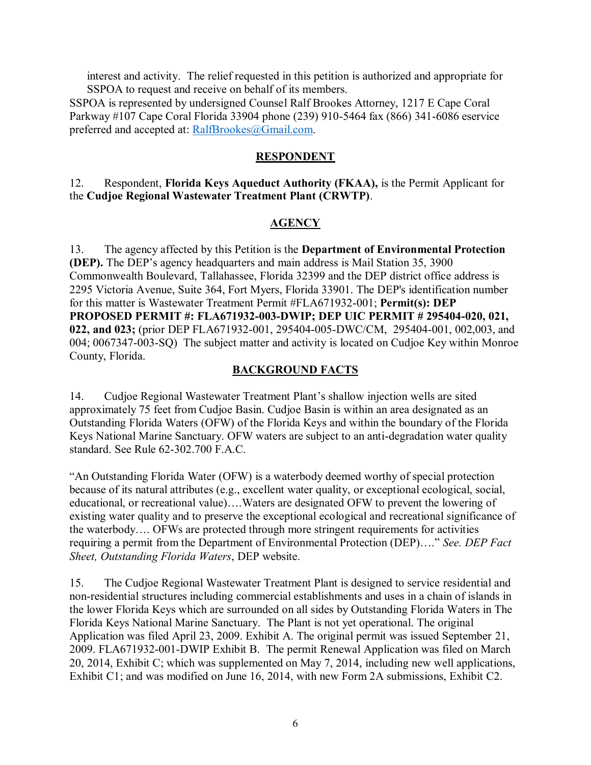interest and activity. The relief requested in this petition is authorized and appropriate for SSPOA to request and receive on behalf of its members.

SSPOA is represented by undersigned Counsel Ralf Brookes Attorney, 1217 E Cape Coral Parkway #107 Cape Coral Florida 33904 phone (239) 910-5464 fax (866) 341-6086 eservice preferred and accepted at: [RalfBrookes@Gmail.com.](mailto:RalfBrookes@Gmail.com)

## **RESPONDENT**

12. Respondent, **Florida Keys Aqueduct Authority (FKAA),** is the Permit Applicant for the **Cudjoe Regional Wastewater Treatment Plant (CRWTP)**.

# **AGENCY**

13. The agency affected by this Petition is the **Department of Environmental Protection (DEP).** The DEP's agency headquarters and main address is Mail Station 35, 3900 Commonwealth Boulevard, Tallahassee, Florida 32399 and the DEP district office address is 2295 Victoria Avenue, Suite 364, Fort Myers, Florida 33901. The DEP's identification number for this matter is Wastewater Treatment Permit #FLA671932-001; **Permit(s): DEP PROPOSED PERMIT #: FLA671932-003-DWIP; DEP UIC PERMIT # 295404-020, 021, 022, and 023;** (prior DEP FLA671932-001, 295404-005-DWC/CM, 295404-001, 002,003, and 004; 0067347-003-SQ) The subject matter and activity is located on Cudjoe Key within Monroe County, Florida.

# **BACKGROUND FACTS**

14. Cudjoe Regional Wastewater Treatment Plant's shallow injection wells are sited approximately 75 feet from Cudjoe Basin. Cudjoe Basin is within an area designated as an Outstanding Florida Waters (OFW) of the Florida Keys and within the boundary of the Florida Keys National Marine Sanctuary. OFW waters are subject to an anti-degradation water quality standard. See Rule 62-302.700 F.A.C.

"An Outstanding Florida Water (OFW) is a waterbody deemed worthy of special protection because of its natural attributes (e.g., excellent water quality, or exceptional ecological, social, educational, or recreational value)….Waters are designated OFW to prevent the lowering of existing water quality and to preserve the exceptional ecological and recreational significance of the waterbody…. OFWs are protected through more stringent requirements for activities requiring a permit from the Department of Environmental Protection (DEP)…." *See. DEP Fact Sheet, Outstanding Florida Waters*, DEP website.

15. The Cudjoe Regional Wastewater Treatment Plant is designed to service residential and non-residential structures including commercial establishments and uses in a chain of islands in the lower Florida Keys which are surrounded on all sides by Outstanding Florida Waters in The Florida Keys National Marine Sanctuary. The Plant is not yet operational. The original Application was filed April 23, 2009. Exhibit A. The original permit was issued September 21, 2009. FLA671932-001-DWIP Exhibit B. The permit Renewal Application was filed on March 20, 2014, Exhibit C; which was supplemented on May 7, 2014, including new well applications, Exhibit C1; and was modified on June 16, 2014, with new Form 2A submissions, Exhibit C2.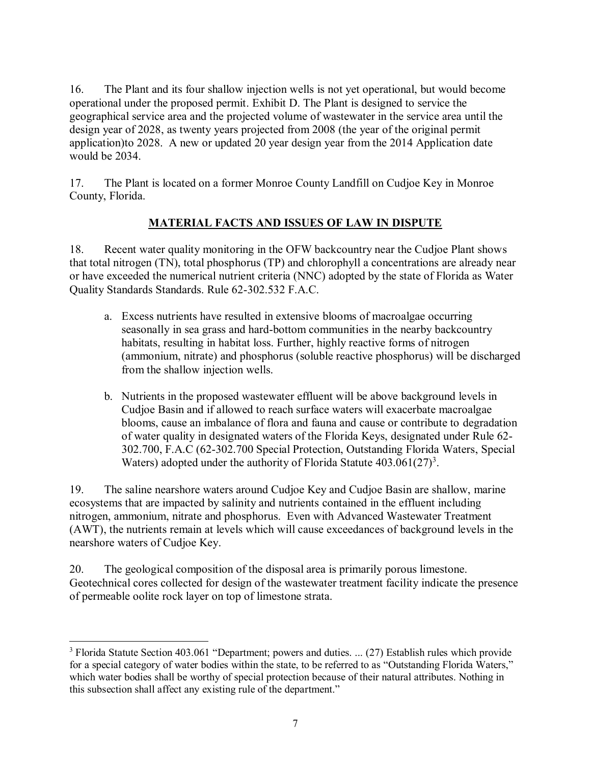16. The Plant and its four shallow injection wells is not yet operational, but would become operational under the proposed permit. Exhibit D. The Plant is designed to service the geographical service area and the projected volume of wastewater in the service area until the design year of 2028, as twenty years projected from 2008 (the year of the original permit application)to 2028. A new or updated 20 year design year from the 2014 Application date would be 2034.

17. The Plant is located on a former Monroe County Landfill on Cudjoe Key in Monroe County, Florida.

# **MATERIAL FACTS AND ISSUES OF LAW IN DISPUTE**

18. Recent water quality monitoring in the OFW backcountry near the Cudjoe Plant shows that total nitrogen (TN), total phosphorus (TP) and chlorophyll a concentrations are already near or have exceeded the numerical nutrient criteria (NNC) adopted by the state of Florida as Water Quality Standards Standards. Rule 62-302.532 F.A.C.

- a. Excess nutrients have resulted in extensive blooms of macroalgae occurring seasonally in sea grass and hard-bottom communities in the nearby backcountry habitats, resulting in habitat loss. Further, highly reactive forms of nitrogen (ammonium, nitrate) and phosphorus (soluble reactive phosphorus) will be discharged from the shallow injection wells.
- b. Nutrients in the proposed wastewater effluent will be above background levels in Cudjoe Basin and if allowed to reach surface waters will exacerbate macroalgae blooms, cause an imbalance of flora and fauna and cause or contribute to degradation of water quality in designated waters of the Florida Keys, designated under Rule 62- 302.700, F.A.C (62-302.700 Special Protection, Outstanding Florida Waters, Special Waters) adopted under the authority of Florida Statute  $403.061(27)^3$ .

19. The saline nearshore waters around Cudjoe Key and Cudjoe Basin are shallow, marine ecosystems that are impacted by salinity and nutrients contained in the effluent including nitrogen, ammonium, nitrate and phosphorus. Even with Advanced Wastewater Treatment (AWT), the nutrients remain at levels which will cause exceedances of background levels in the nearshore waters of Cudjoe Key.

20. The geological composition of the disposal area is primarily porous limestone. Geotechnical cores collected for design of the wastewater treatment facility indicate the presence of permeable oolite rock layer on top of limestone strata.

 $\overline{a}$ <sup>3</sup> Florida Statute Section 403.061 "Department; powers and duties. ... (27) Establish rules which provide for a special category of water bodies within the state, to be referred to as "Outstanding Florida Waters," which water bodies shall be worthy of special protection because of their natural attributes. Nothing in this subsection shall affect any existing rule of the department."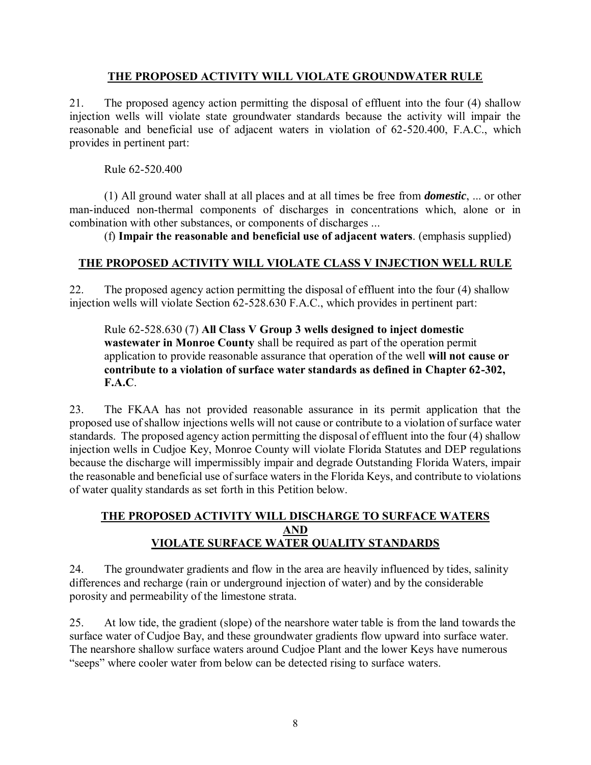# **THE PROPOSED ACTIVITY WILL VIOLATE GROUNDWATER RULE**

21. The proposed agency action permitting the disposal of effluent into the four (4) shallow injection wells will violate state groundwater standards because the activity will impair the reasonable and beneficial use of adjacent waters in violation of 62-520.400, F.A.C., which provides in pertinent part:

Rule 62-520.400

(1) All ground water shall at all places and at all times be free from *domestic*, ... or other man-induced non-thermal components of discharges in concentrations which, alone or in combination with other substances, or components of discharges ...

(f) **Impair the reasonable and beneficial use of adjacent waters**. (emphasis supplied)

# **THE PROPOSED ACTIVITY WILL VIOLATE CLASS V INJECTION WELL RULE**

22. The proposed agency action permitting the disposal of effluent into the four (4) shallow injection wells will violate Section 62-528.630 F.A.C., which provides in pertinent part:

Rule 62-528.630 (7) **All Class V Group 3 wells designed to inject domestic wastewater in Monroe County** shall be required as part of the operation permit application to provide reasonable assurance that operation of the well **will not cause or contribute to a violation of surface water standards as defined in Chapter 62-302, F.A.C**.

23. The FKAA has not provided reasonable assurance in its permit application that the proposed use of shallow injections wells will not cause or contribute to a violation of surface water standards. The proposed agency action permitting the disposal of effluent into the four (4) shallow injection wells in Cudjoe Key, Monroe County will violate Florida Statutes and DEP regulations because the discharge will impermissibly impair and degrade Outstanding Florida Waters, impair the reasonable and beneficial use of surface waters in the Florida Keys, and contribute to violations of water quality standards as set forth in this Petition below.

# **THE PROPOSED ACTIVITY WILL DISCHARGE TO SURFACE WATERS AND VIOLATE SURFACE WATER QUALITY STANDARDS**

24. The groundwater gradients and flow in the area are heavily influenced by tides, salinity differences and recharge (rain or underground injection of water) and by the considerable porosity and permeability of the limestone strata.

25. At low tide, the gradient (slope) of the nearshore water table is from the land towards the surface water of Cudjoe Bay, and these groundwater gradients flow upward into surface water. The nearshore shallow surface waters around Cudjoe Plant and the lower Keys have numerous "seeps" where cooler water from below can be detected rising to surface waters.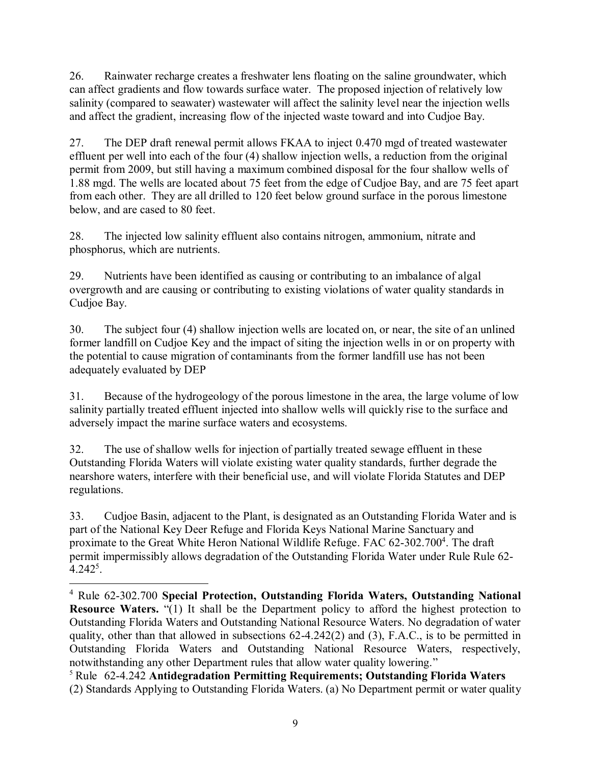26. Rainwater recharge creates a freshwater lens floating on the saline groundwater, which can affect gradients and flow towards surface water. The proposed injection of relatively low salinity (compared to seawater) wastewater will affect the salinity level near the injection wells and affect the gradient, increasing flow of the injected waste toward and into Cudjoe Bay.

27. The DEP draft renewal permit allows FKAA to inject 0.470 mgd of treated wastewater effluent per well into each of the four (4) shallow injection wells, a reduction from the original permit from 2009, but still having a maximum combined disposal for the four shallow wells of 1.88 mgd. The wells are located about 75 feet from the edge of Cudjoe Bay, and are 75 feet apart from each other. They are all drilled to 120 feet below ground surface in the porous limestone below, and are cased to 80 feet.

28. The injected low salinity effluent also contains nitrogen, ammonium, nitrate and phosphorus, which are nutrients.

29. Nutrients have been identified as causing or contributing to an imbalance of algal overgrowth and are causing or contributing to existing violations of water quality standards in Cudjoe Bay.

30. The subject four (4) shallow injection wells are located on, or near, the site of an unlined former landfill on Cudjoe Key and the impact of siting the injection wells in or on property with the potential to cause migration of contaminants from the former landfill use has not been adequately evaluated by DEP

31. Because of the hydrogeology of the porous limestone in the area, the large volume of low salinity partially treated effluent injected into shallow wells will quickly rise to the surface and adversely impact the marine surface waters and ecosystems.

32. The use of shallow wells for injection of partially treated sewage effluent in these Outstanding Florida Waters will violate existing water quality standards, further degrade the nearshore waters, interfere with their beneficial use, and will violate Florida Statutes and DEP regulations.

33. Cudjoe Basin, adjacent to the Plant, is designated as an Outstanding Florida Water and is part of the National Key Deer Refuge and Florida Keys National Marine Sanctuary and proximate to the Great White Heron National Wildlife Refuge. FAC 62-302.700<sup>4</sup>. The draft permit impermissibly allows degradation of the Outstanding Florida Water under Rule Rule 62-  $4.242^{5}$ .

 $\overline{a}$ 

<sup>4</sup> Rule 62-302.700 **Special Protection, Outstanding Florida Waters, Outstanding National Resource Waters.** "(1) It shall be the Department policy to afford the highest protection to Outstanding Florida Waters and Outstanding National Resource Waters. No degradation of water quality, other than that allowed in subsections 62-4.242(2) and (3), F.A.C., is to be permitted in Outstanding Florida Waters and Outstanding National Resource Waters, respectively, notwithstanding any other Department rules that allow water quality lowering."

<sup>5</sup> Rule 62-4.242 **Antidegradation Permitting Requirements; Outstanding Florida Waters** (2) Standards Applying to Outstanding Florida Waters. (a) No Department permit or water quality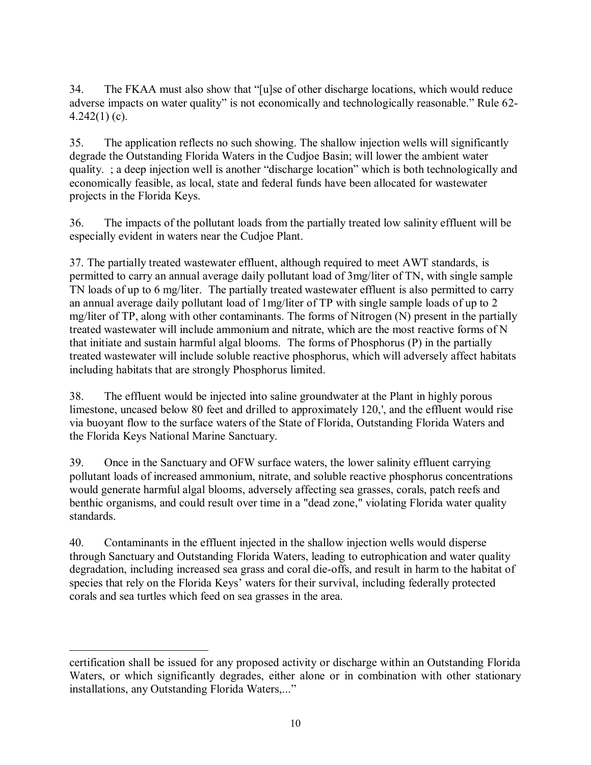34. The FKAA must also show that "[u]se of other discharge locations, which would reduce adverse impacts on water quality" is not economically and technologically reasonable." Rule 62-  $4.242(1)$  (c).

35. The application reflects no such showing. The shallow injection wells will significantly degrade the Outstanding Florida Waters in the Cudjoe Basin; will lower the ambient water quality. ; a deep injection well is another "discharge location" which is both technologically and economically feasible, as local, state and federal funds have been allocated for wastewater projects in the Florida Keys.

36. The impacts of the pollutant loads from the partially treated low salinity effluent will be especially evident in waters near the Cudjoe Plant.

37. The partially treated wastewater effluent, although required to meet AWT standards, is permitted to carry an annual average daily pollutant load of 3mg/liter of TN, with single sample TN loads of up to 6 mg/liter. The partially treated wastewater effluent is also permitted to carry an annual average daily pollutant load of 1mg/liter of TP with single sample loads of up to 2 mg/liter of TP, along with other contaminants. The forms of Nitrogen (N) present in the partially treated wastewater will include ammonium and nitrate, which are the most reactive forms of N that initiate and sustain harmful algal blooms. The forms of Phosphorus (P) in the partially treated wastewater will include soluble reactive phosphorus, which will adversely affect habitats including habitats that are strongly Phosphorus limited.

38. The effluent would be injected into saline groundwater at the Plant in highly porous limestone, uncased below 80 feet and drilled to approximately 120,', and the effluent would rise via buoyant flow to the surface waters of the State of Florida, Outstanding Florida Waters and the Florida Keys National Marine Sanctuary.

39. Once in the Sanctuary and OFW surface waters, the lower salinity effluent carrying pollutant loads of increased ammonium, nitrate, and soluble reactive phosphorus concentrations would generate harmful algal blooms, adversely affecting sea grasses, corals, patch reefs and benthic organisms, and could result over time in a "dead zone," violating Florida water quality standards.

40. Contaminants in the effluent injected in the shallow injection wells would disperse through Sanctuary and Outstanding Florida Waters, leading to eutrophication and water quality degradation, including increased sea grass and coral die-offs, and result in harm to the habitat of species that rely on the Florida Keys' waters for their survival, including federally protected corals and sea turtles which feed on sea grasses in the area.

 $\overline{a}$ 

certification shall be issued for any proposed activity or discharge within an Outstanding Florida Waters, or which significantly degrades, either alone or in combination with other stationary installations, any Outstanding Florida Waters,..."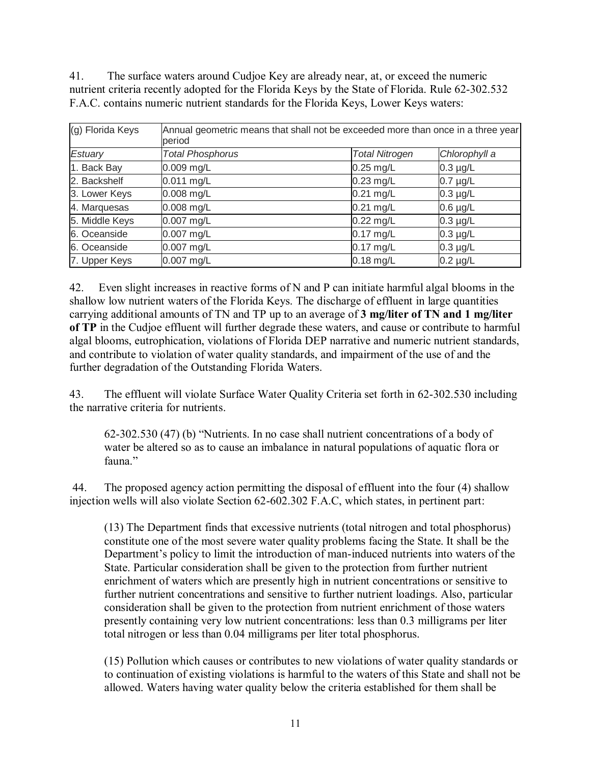41. The surface waters around Cudjoe Key are already near, at, or exceed the numeric nutrient criteria recently adopted for the Florida Keys by the State of Florida. Rule 62-302.532 F.A.C. contains numeric nutrient standards for the Florida Keys, Lower Keys waters:

| (g) Florida Keys | Annual geometric means that shall not be exceeded more than once in a three year<br>period |                       |               |
|------------------|--------------------------------------------------------------------------------------------|-----------------------|---------------|
| Estuary          | <b>Total Phosphorus</b>                                                                    | <b>Total Nitrogen</b> | Chlorophyll a |
| 1. Back Bay      | $0.009$ mg/L                                                                               | $0.25$ mg/L           | $0.3 \mu g/L$ |
| 2. Backshelf     | $0.011$ mg/L                                                                               | $0.23$ mg/L           | $0.7 \mu g/L$ |
| 3. Lower Keys    | $0.008$ mg/L                                                                               | $0.21$ mg/L           | $0.3 \mu g/L$ |
| 4. Marquesas     | $0.008$ mg/L                                                                               | $0.21$ mg/L           | $0.6 \mu g/L$ |
| 5. Middle Keys   | 0.007 mg/L                                                                                 | $0.22$ mg/L           | $0.3 \mu g/L$ |
| 6. Oceanside     | $0.007$ mg/L                                                                               | $0.17$ mg/L           | $0.3 \mu g/L$ |
| 6. Oceanside     | 0.007 mg/L                                                                                 | $0.17$ mg/L           | $0.3 \mu g/L$ |
| 7. Upper Keys    | 0.007 mg/L                                                                                 | $0.18$ mg/L           | $0.2 \mu g/L$ |

42. Even slight increases in reactive forms of N and P can initiate harmful algal blooms in the shallow low nutrient waters of the Florida Keys. The discharge of effluent in large quantities carrying additional amounts of TN and TP up to an average of **3 mg/liter of TN and 1 mg/liter of TP** in the Cudjoe effluent will further degrade these waters, and cause or contribute to harmful algal blooms, eutrophication, violations of Florida DEP narrative and numeric nutrient standards, and contribute to violation of water quality standards, and impairment of the use of and the further degradation of the Outstanding Florida Waters.

43. The effluent will violate Surface Water Quality Criteria set forth in 62-302.530 including the narrative criteria for nutrients.

62-302.530 (47) (b) "Nutrients. In no case shall nutrient concentrations of a body of water be altered so as to cause an imbalance in natural populations of aquatic flora or fauna."

 44. The proposed agency action permitting the disposal of effluent into the four (4) shallow injection wells will also violate Section 62-602.302 F.A.C, which states, in pertinent part:

(13) The Department finds that excessive nutrients (total nitrogen and total phosphorus) constitute one of the most severe water quality problems facing the State. It shall be the Department's policy to limit the introduction of man-induced nutrients into waters of the State. Particular consideration shall be given to the protection from further nutrient enrichment of waters which are presently high in nutrient concentrations or sensitive to further nutrient concentrations and sensitive to further nutrient loadings. Also, particular consideration shall be given to the protection from nutrient enrichment of those waters presently containing very low nutrient concentrations: less than 0.3 milligrams per liter total nitrogen or less than 0.04 milligrams per liter total phosphorus.

(15) Pollution which causes or contributes to new violations of water quality standards or to continuation of existing violations is harmful to the waters of this State and shall not be allowed. Waters having water quality below the criteria established for them shall be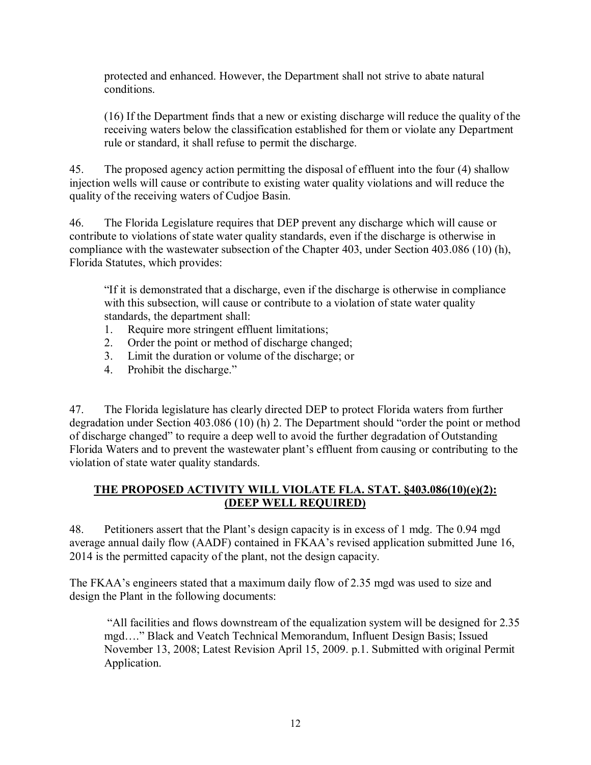protected and enhanced. However, the Department shall not strive to abate natural conditions.

(16) If the Department finds that a new or existing discharge will reduce the quality of the receiving waters below the classification established for them or violate any Department rule or standard, it shall refuse to permit the discharge.

45. The proposed agency action permitting the disposal of effluent into the four (4) shallow injection wells will cause or contribute to existing water quality violations and will reduce the quality of the receiving waters of Cudjoe Basin.

46. The Florida Legislature requires that DEP prevent any discharge which will cause or contribute to violations of state water quality standards, even if the discharge is otherwise in compliance with the wastewater subsection of the Chapter 403, under Section 403.086 (10) (h), Florida Statutes, which provides:

"If it is demonstrated that a discharge, even if the discharge is otherwise in compliance with this subsection, will cause or contribute to a violation of state water quality standards, the department shall:

- 1. Require more stringent effluent limitations;
- 2. Order the point or method of discharge changed;
- 3. Limit the duration or volume of the discharge; or
- 4. Prohibit the discharge."

47. The Florida legislature has clearly directed DEP to protect Florida waters from further degradation under Section 403.086 (10) (h) 2. The Department should "order the point or method of discharge changed" to require a deep well to avoid the further degradation of Outstanding Florida Waters and to prevent the wastewater plant's effluent from causing or contributing to the violation of state water quality standards.

# **THE PROPOSED ACTIVITY WILL VIOLATE FLA. STAT. §403.086(10)(e)(2): (DEEP WELL REQUIRED)**

48. Petitioners assert that the Plant's design capacity is in excess of 1 mdg. The 0.94 mgd average annual daily flow (AADF) contained in FKAA's revised application submitted June 16, 2014 is the permitted capacity of the plant, not the design capacity.

The FKAA's engineers stated that a maximum daily flow of 2.35 mgd was used to size and design the Plant in the following documents:

 "All facilities and flows downstream of the equalization system will be designed for 2.35 mgd…." Black and Veatch Technical Memorandum, Influent Design Basis; Issued November 13, 2008; Latest Revision April 15, 2009. p.1. Submitted with original Permit Application.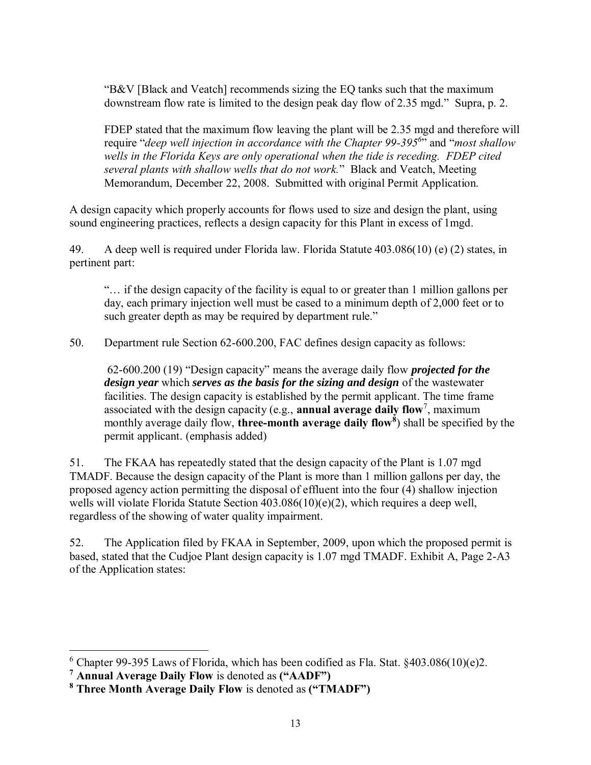"B&V [Black and Veatch] recommends sizing the EQ tanks such that the maximum downstream flow rate is limited to the design peak day flow of 2.35 mgd." Supra, p. 2.

FDEP stated that the maximum flow leaving the plant will be 2.35 mgd and therefore will require "*deep well injection in accordance with the Chapter 99-395<sup>6</sup>* " and "*most shallow wells in the Florida Keys are only operational when the tide is receding. FDEP cited several plants with shallow wells that do not work.*" Black and Veatch, Meeting Memorandum, December 22, 2008. Submitted with original Permit Application.

A design capacity which properly accounts for flows used to size and design the plant, using sound engineering practices, reflects a design capacity for this Plant in excess of 1mgd.

49. A deep well is required under Florida law. Florida Statute 403.086(10) (e) (2) states, in pertinent part:

"… if the design capacity of the facility is equal to or greater than 1 million gallons per day, each primary injection well must be cased to a minimum depth of 2,000 feet or to such greater depth as may be required by department rule."

50. Department rule Section 62-600.200, FAC defines design capacity as follows:

 62-600.200 (19) "Design capacity" means the average daily flow *projected for the design year* which *serves as the basis for the sizing and design* of the wastewater facilities. The design capacity is established by the permit applicant. The time frame associated with the design capacity (e.g., **annual average daily flow**<sup>7</sup>, maximum monthly average daily flow, **three-month average daily flow<sup>8</sup>** ) shall be specified by the permit applicant. (emphasis added)

51. The FKAA has repeatedly stated that the design capacity of the Plant is 1.07 mgd TMADF. Because the design capacity of the Plant is more than 1 million gallons per day, the proposed agency action permitting the disposal of effluent into the four (4) shallow injection wells will violate Florida Statute Section 403.086(10)(e)(2), which requires a deep well, regardless of the showing of water quality impairment.

52. The Application filed by FKAA in September, 2009, upon which the proposed permit is based, stated that the Cudjoe Plant design capacity is 1.07 mgd TMADF. Exhibit A, Page 2-A3 of the Application states:

 $\overline{a}$ 

<sup>&</sup>lt;sup>6</sup> Chapter 99-395 Laws of Florida, which has been codified as Fla. Stat.  $§403.086(10)(e)2$ .

**<sup>7</sup> Annual Average Daily Flow** is denoted as **("AADF")** 

**<sup>8</sup> Three Month Average Daily Flow** is denoted as **("TMADF")**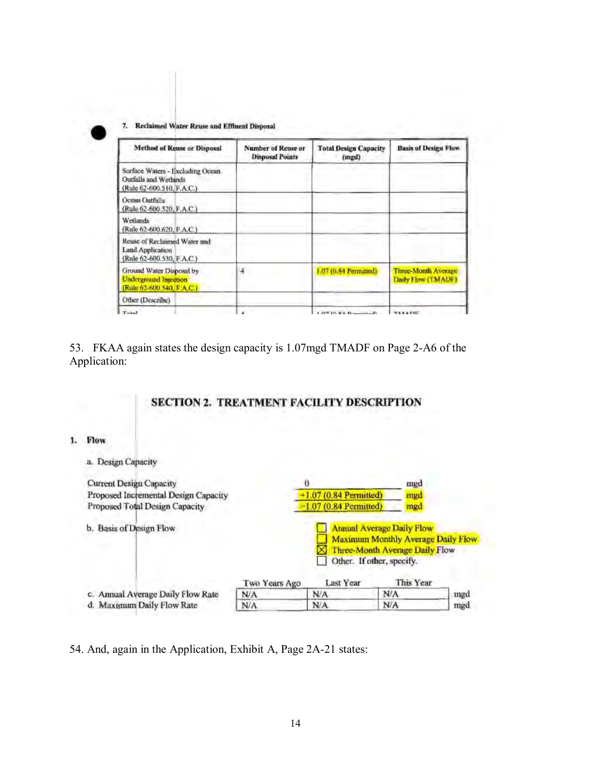$\tau$ Reclaimed Water Reuse and Effluent Disposal

| <b>Method of Rease or Disposal</b>                                                     | <b>Number of Reuse or</b><br><b>Disposal Points</b> | <b>Total Design Capacity</b><br>(mgd) | <b>Basis of Design Flow</b>               |
|----------------------------------------------------------------------------------------|-----------------------------------------------------|---------------------------------------|-------------------------------------------|
| Surface Waters - Excluding Ocean<br>Outfalls and Wetlands<br>(Rule 62-600.510, F.A.C.) |                                                     |                                       |                                           |
| Ocean Outfalls<br>(Rule 62-600.520, F.A.C.)                                            |                                                     |                                       |                                           |
| Wetlands<br>(Rule 62-600.620, F.A.C.)                                                  |                                                     |                                       |                                           |
| Reuse of Reclaimed Water and<br><b>Land Application</b><br>(Rule 62-600.530, F.A.C.)   |                                                     |                                       |                                           |
| Ground Water Disposal by<br><b>Underground Injection</b><br>(Rule 62-600.540, F.A.C.)  | 4                                                   | 1.07 (0.84 Permined)                  | Three-Month Average<br>Daily Flow (TMADF) |
| Other (Describe)                                                                       |                                                     |                                       |                                           |
| Total                                                                                  |                                                     | <b>PIPERS REAL PROPERTY</b>           |                                           |

53. FKAA again states the design capacity is 1.07mgd TMADF on Page 2-A6 of the Application:

# SECTION 2. TREATMENT FACILITY DESCRIPTION

#### 1. Flow

| <b>Design Capacity</b>               |               |                         |                                                                                                                                                           |     |
|--------------------------------------|---------------|-------------------------|-----------------------------------------------------------------------------------------------------------------------------------------------------------|-----|
| Current Design Capacity              |               | o                       | mgd                                                                                                                                                       |     |
| Proposed Incremental Design Capacity |               | $+1.07(0.84$ Permitted) | mgd                                                                                                                                                       |     |
| Proposed Total Design Capacity       |               | $=1.07(0.84$ Permitted) | mgd                                                                                                                                                       |     |
| b. Basis of Design Flow              | Two Years Ago | Last Year               | <b>Annual Average Daily Flow</b><br><b>Maximum Monthly Average Daily Flow</b><br>Three-Month Average Daily Flow<br>Other. If other, specify.<br>This Year |     |
| c. Annual Average Daily Flow Rate    | N/A           | N/A                     | N/A                                                                                                                                                       | mgd |
| d. Maximum Daily Flow Rate           | N/A           | N/A                     | N/A                                                                                                                                                       | mgd |

54. And, again in the Application, Exhibit A, Page 2A-21 states: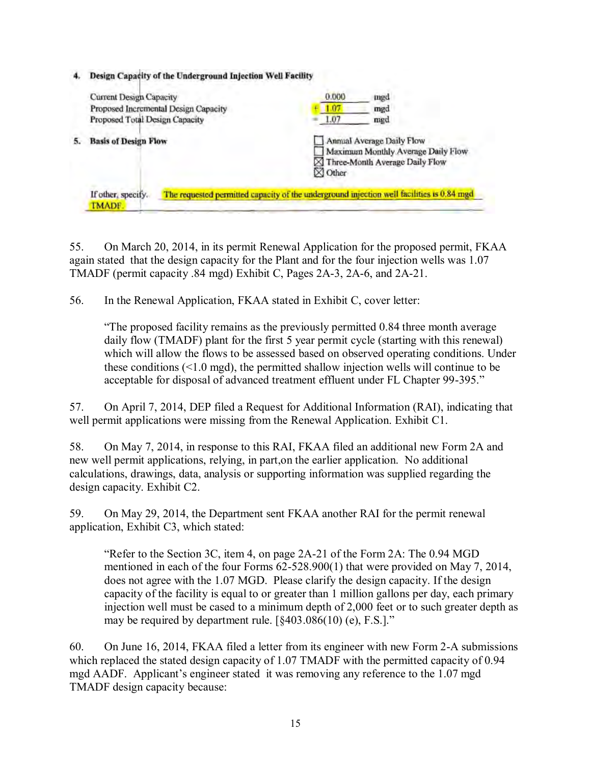| 4. | Design Capacity of the Underground Injection Well Facility                                               |                                                                                                                     |  |  |  |
|----|----------------------------------------------------------------------------------------------------------|---------------------------------------------------------------------------------------------------------------------|--|--|--|
|    | <b>Current Design Capacity</b><br>Proposed Incremental Design Capacity<br>Proposed Total Design Capacity | 0.000<br>mgd<br>.07<br>mgd<br>1.07<br>med                                                                           |  |  |  |
|    | <b>Basis of Design Flow</b>                                                                              | Annual Average Daily Flow<br>Maximum Monthly Average Daily Flow<br>Three-Month Average Daily Flow<br>$\times$ Other |  |  |  |
|    | If other, specify.<br><b>TMADF</b>                                                                       | The requested permitted capacity of the underground injection well facilities is 0.84 mgd                           |  |  |  |

55. On March 20, 2014, in its permit Renewal Application for the proposed permit, FKAA again stated that the design capacity for the Plant and for the four injection wells was 1.07 TMADF (permit capacity .84 mgd) Exhibit C, Pages 2A-3, 2A-6, and 2A-21.

56. In the Renewal Application, FKAA stated in Exhibit C, cover letter:

"The proposed facility remains as the previously permitted 0.84 three month average daily flow (TMADF) plant for the first 5 year permit cycle (starting with this renewal) which will allow the flows to be assessed based on observed operating conditions. Under these conditions (<1.0 mgd), the permitted shallow injection wells will continue to be acceptable for disposal of advanced treatment effluent under FL Chapter 99-395."

57. On April 7, 2014, DEP filed a Request for Additional Information (RAI), indicating that well permit applications were missing from the Renewal Application. Exhibit C1.

58. On May 7, 2014, in response to this RAI, FKAA filed an additional new Form 2A and new well permit applications, relying, in part,on the earlier application. No additional calculations, drawings, data, analysis or supporting information was supplied regarding the design capacity. Exhibit C2.

59. On May 29, 2014, the Department sent FKAA another RAI for the permit renewal application, Exhibit C3, which stated:

"Refer to the Section 3C, item 4, on page 2A-21 of the Form 2A: The 0.94 MGD mentioned in each of the four Forms 62-528.900(1) that were provided on May 7, 2014, does not agree with the 1.07 MGD. Please clarify the design capacity. If the design capacity of the facility is equal to or greater than 1 million gallons per day, each primary injection well must be cased to a minimum depth of 2,000 feet or to such greater depth as may be required by department rule. [§403.086(10) (e), F.S.]."

60. On June 16, 2014, FKAA filed a letter from its engineer with new Form 2-A submissions which replaced the stated design capacity of 1.07 TMADF with the permitted capacity of 0.94 mgd AADF. Applicant's engineer stated it was removing any reference to the 1.07 mgd TMADF design capacity because: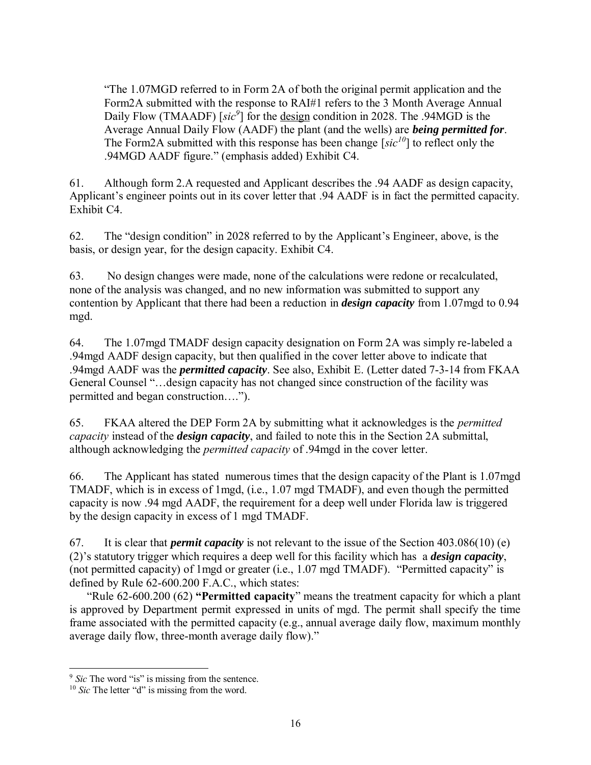"The 1.07MGD referred to in Form 2A of both the original permit application and the Form2A submitted with the response to RAI#1 refers to the 3 Month Average Annual Daily Flow (TMAADF) [sic<sup>9</sup>] for the design condition in 2028. The .94MGD is the Average Annual Daily Flow (AADF) the plant (and the wells) are *being permitted for*. The Form2A submitted with this response has been change [*sic<sup>10</sup>*] to reflect only the .94MGD AADF figure." (emphasis added) Exhibit C4.

61. Although form 2.A requested and Applicant describes the .94 AADF as design capacity, Applicant's engineer points out in its cover letter that .94 AADF is in fact the permitted capacity. Exhibit C4.

62. The "design condition" in 2028 referred to by the Applicant's Engineer, above, is the basis, or design year, for the design capacity. Exhibit C4.

63. No design changes were made, none of the calculations were redone or recalculated, none of the analysis was changed, and no new information was submitted to support any contention by Applicant that there had been a reduction in *design capacity* from 1.07mgd to 0.94 mgd.

64. The 1.07mgd TMADF design capacity designation on Form 2A was simply re-labeled a .94mgd AADF design capacity, but then qualified in the cover letter above to indicate that .94mgd AADF was the *permitted capacity*. See also, Exhibit E. (Letter dated 7-3-14 from FKAA General Counsel "…design capacity has not changed since construction of the facility was permitted and began construction….").

65. FKAA altered the DEP Form 2A by submitting what it acknowledges is the *permitted capacity* instead of the *design capacity*, and failed to note this in the Section 2A submittal, although acknowledging the *permitted capacity* of .94mgd in the cover letter.

66. The Applicant has stated numerous times that the design capacity of the Plant is 1.07mgd TMADF, which is in excess of 1mgd, (i.e., 1.07 mgd TMADF), and even though the permitted capacity is now .94 mgd AADF, the requirement for a deep well under Florida law is triggered by the design capacity in excess of 1 mgd TMADF.

67. It is clear that *permit capacity* is not relevant to the issue of the Section 403.086(10) (e) (2)'s statutory trigger which requires a deep well for this facility which has a *design capacity*, (not permitted capacity) of 1mgd or greater (i.e., 1.07 mgd TMADF). "Permitted capacity" is defined by Rule 62-600.200 F.A.C., which states:

"Rule 62-600.200 (62) **"Permitted capacity**" means the treatment capacity for which a plant is approved by Department permit expressed in units of mgd. The permit shall specify the time frame associated with the permitted capacity (e.g., annual average daily flow, maximum monthly average daily flow, three-month average daily flow)."

 $\overline{a}$ 

<sup>&</sup>lt;sup>9</sup> *Sic* The word "is" is missing from the sentence.

<sup>&</sup>lt;sup>10</sup> *Sic* The letter "d" is missing from the word.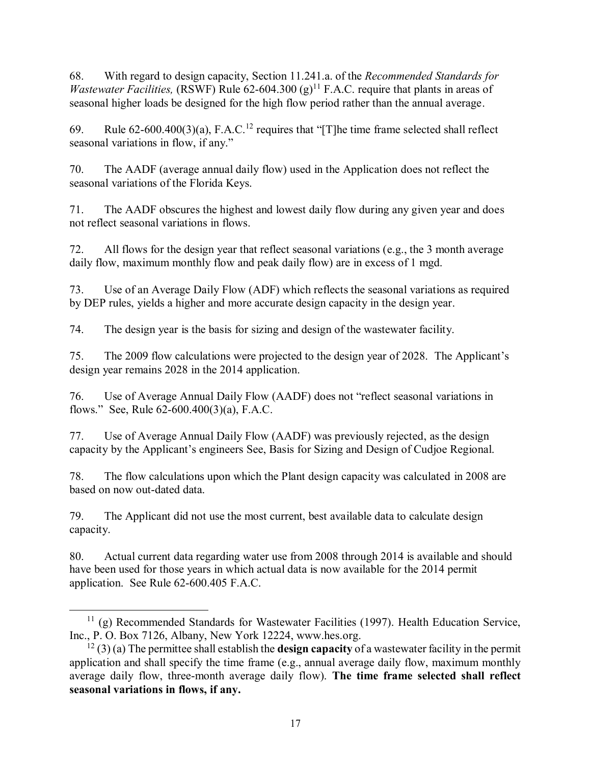68. With regard to design capacity, Section 11.241.a. of the *Recommended Standards for Wastewater Facilities,* (RSWF) Rule 62-604.300 (g)<sup>11</sup> F.A.C. require that plants in areas of seasonal higher loads be designed for the high flow period rather than the annual average.

69. Rule  $62-600.400(3)(a)$ , F.A.C.<sup>12</sup> requires that "[T]he time frame selected shall reflect seasonal variations in flow, if any."

70. The AADF (average annual daily flow) used in the Application does not reflect the seasonal variations of the Florida Keys.

71. The AADF obscures the highest and lowest daily flow during any given year and does not reflect seasonal variations in flows.

72. All flows for the design year that reflect seasonal variations (e.g., the 3 month average daily flow, maximum monthly flow and peak daily flow) are in excess of 1 mgd.

73. Use of an Average Daily Flow (ADF) which reflects the seasonal variations as required by DEP rules, yields a higher and more accurate design capacity in the design year.

74. The design year is the basis for sizing and design of the wastewater facility.

75. The 2009 flow calculations were projected to the design year of 2028. The Applicant's design year remains 2028 in the 2014 application.

76. Use of Average Annual Daily Flow (AADF) does not "reflect seasonal variations in flows." See, Rule 62-600.400(3)(a), F.A.C.

77. Use of Average Annual Daily Flow (AADF) was previously rejected, as the design capacity by the Applicant's engineers See, Basis for Sizing and Design of Cudjoe Regional.

78. The flow calculations upon which the Plant design capacity was calculated in 2008 are based on now out-dated data.

79. The Applicant did not use the most current, best available data to calculate design capacity.

80. Actual current data regarding water use from 2008 through 2014 is available and should have been used for those years in which actual data is now available for the 2014 permit application. See Rule 62-600.405 F.A.C.

 $\overline{a}$  $11$  (g) Recommended Standards for Wastewater Facilities (1997). Health Education Service, Inc., P. O. Box 7126, Albany, New York 12224, www.hes.org.

<sup>12</sup> (3) (a) The permittee shall establish the **design capacity** of a wastewater facility in the permit application and shall specify the time frame (e.g., annual average daily flow, maximum monthly average daily flow, three-month average daily flow). **The time frame selected shall reflect seasonal variations in flows, if any.**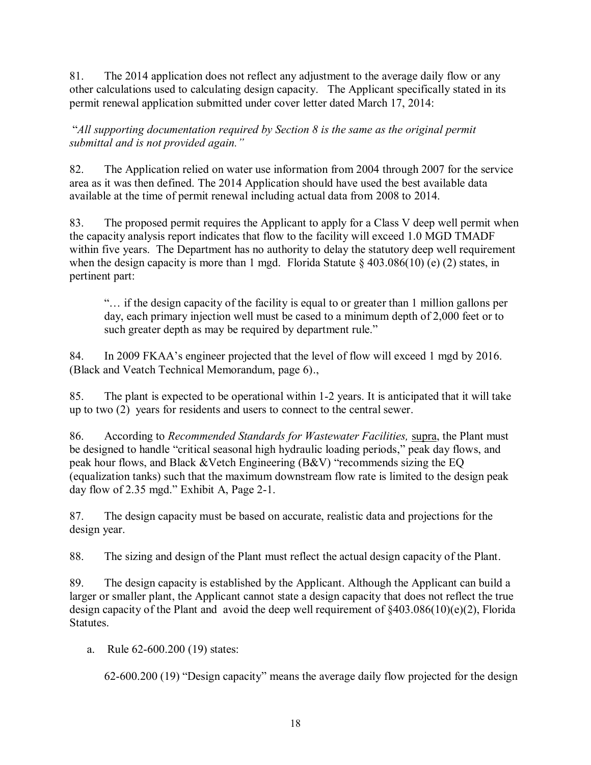81. The 2014 application does not reflect any adjustment to the average daily flow or any other calculations used to calculating design capacity. The Applicant specifically stated in its permit renewal application submitted under cover letter dated March 17, 2014:

 "*All supporting documentation required by Section 8 is the same as the original permit submittal and is not provided again."*

82. The Application relied on water use information from 2004 through 2007 for the service area as it was then defined. The 2014 Application should have used the best available data available at the time of permit renewal including actual data from 2008 to 2014.

83. The proposed permit requires the Applicant to apply for a Class V deep well permit when the capacity analysis report indicates that flow to the facility will exceed 1.0 MGD TMADF within five years. The Department has no authority to delay the statutory deep well requirement when the design capacity is more than 1 mgd. Florida Statute  $\S 403.086(10)$  (e) (2) states, in pertinent part:

"… if the design capacity of the facility is equal to or greater than 1 million gallons per day, each primary injection well must be cased to a minimum depth of 2,000 feet or to such greater depth as may be required by department rule."

84. In 2009 FKAA's engineer projected that the level of flow will exceed 1 mgd by 2016. (Black and Veatch Technical Memorandum, page 6).,

85. The plant is expected to be operational within 1-2 years. It is anticipated that it will take up to two (2) years for residents and users to connect to the central sewer.

86. According to *Recommended Standards for Wastewater Facilities,* supra, the Plant must be designed to handle "critical seasonal high hydraulic loading periods," peak day flows, and peak hour flows, and Black &Vetch Engineering (B&V) "recommends sizing the EQ (equalization tanks) such that the maximum downstream flow rate is limited to the design peak day flow of 2.35 mgd." Exhibit A, Page 2-1.

87. The design capacity must be based on accurate, realistic data and projections for the design year.

88. The sizing and design of the Plant must reflect the actual design capacity of the Plant.

89. The design capacity is established by the Applicant. Although the Applicant can build a larger or smaller plant, the Applicant cannot state a design capacity that does not reflect the true design capacity of the Plant and avoid the deep well requirement of §403.086(10)(e)(2), Florida Statutes.

a. Rule 62-600.200 (19) states:

62-600.200 (19) "Design capacity" means the average daily flow projected for the design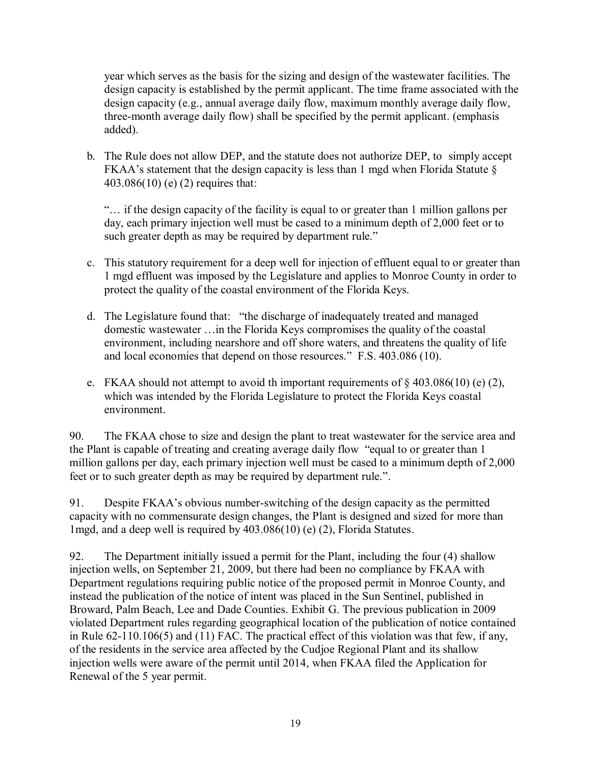year which serves as the basis for the sizing and design of the wastewater facilities. The design capacity is established by the permit applicant. The time frame associated with the design capacity (e.g., annual average daily flow, maximum monthly average daily flow, three-month average daily flow) shall be specified by the permit applicant. (emphasis added).

b. The Rule does not allow DEP, and the statute does not authorize DEP, to simply accept FKAA's statement that the design capacity is less than 1 mgd when Florida Statute § 403.086(10) (e) (2) requires that:

"… if the design capacity of the facility is equal to or greater than 1 million gallons per day, each primary injection well must be cased to a minimum depth of 2,000 feet or to such greater depth as may be required by department rule."

- c. This statutory requirement for a deep well for injection of effluent equal to or greater than 1 mgd effluent was imposed by the Legislature and applies to Monroe County in order to protect the quality of the coastal environment of the Florida Keys.
- d. The Legislature found that: "the discharge of inadequately treated and managed domestic wastewater …in the Florida Keys compromises the quality of the coastal environment, including nearshore and off shore waters, and threatens the quality of life and local economies that depend on those resources." F.S. 403.086 (10).
- e. FKAA should not attempt to avoid th important requirements of  $\S 403.086(10)$  (e) (2), which was intended by the Florida Legislature to protect the Florida Keys coastal environment.

90. The FKAA chose to size and design the plant to treat wastewater for the service area and the Plant is capable of treating and creating average daily flow "equal to or greater than 1 million gallons per day, each primary injection well must be cased to a minimum depth of 2,000 feet or to such greater depth as may be required by department rule.".

91. Despite FKAA's obvious number-switching of the design capacity as the permitted capacity with no commensurate design changes, the Plant is designed and sized for more than 1mgd, and a deep well is required by 403.086(10) (e) (2), Florida Statutes.

92. The Department initially issued a permit for the Plant, including the four (4) shallow injection wells, on September 21, 2009, but there had been no compliance by FKAA with Department regulations requiring public notice of the proposed permit in Monroe County, and instead the publication of the notice of intent was placed in the Sun Sentinel, published in Broward, Palm Beach, Lee and Dade Counties. Exhibit G. The previous publication in 2009 violated Department rules regarding geographical location of the publication of notice contained in Rule 62-110.106(5) and (11) FAC. The practical effect of this violation was that few, if any, of the residents in the service area affected by the Cudjoe Regional Plant and its shallow injection wells were aware of the permit until 2014, when FKAA filed the Application for Renewal of the 5 year permit.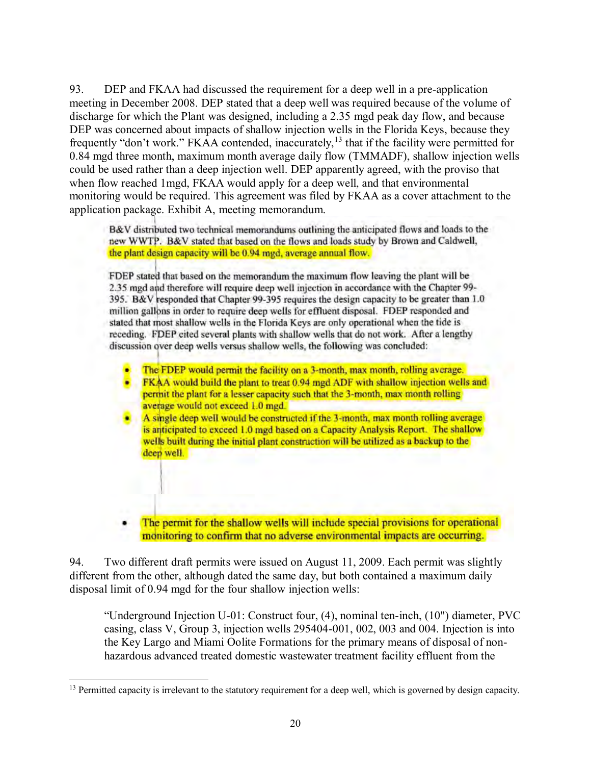93. DEP and FKAA had discussed the requirement for a deep well in a pre-application meeting in December 2008. DEP stated that a deep well was required because of the volume of discharge for which the Plant was designed, including a 2.35 mgd peak day flow, and because DEP was concerned about impacts of shallow injection wells in the Florida Keys, because they frequently "don't work." FKAA contended, inaccurately,<sup>13</sup> that if the facility were permitted for 0.84 mgd three month, maximum month average daily flow (TMMADF), shallow injection wells could be used rather than a deep injection well. DEP apparently agreed, with the proviso that when flow reached 1mgd, FKAA would apply for a deep well, and that environmental monitoring would be required. This agreement was filed by FKAA as a cover attachment to the application package. Exhibit A, meeting memorandum.

B&V distributed two technical memorandums outlining the anticipated flows and loads to the new WWTP. B&V stated that based on the flows and loads study by Brown and Caldwell, the plant design capacity will be 0.94 mgd, average annual flow.

FDEP stated that based on the memorandum the maximum flow leaving the plant will be 2.35 mgd and therefore will require deep well injection in accordance with the Chapter 99-395. B&V responded that Chapter 99-395 requires the design capacity to be greater than 1.0 million gallons in order to require deep wells for effluent disposal. FDEP responded and stated that most shallow wells in the Florida Keys are only operational when the tide is receding. FDEP cited several plants with shallow wells that do not work. After a lengthy discussion over deep wells versus shallow wells, the following was concluded:

- The FDEP would permit the facility on a 3-month, max month, rolling average.
- FKAA would build the plant to treat 0.94 mgd ADF with shallow injection wells and permit the plant for a lesser capacity such that the 3-month, max month rolling average would not exceed 1.0 mgd.
- A single deep well would be constructed if the 3-month, max month rolling average is anticipated to exceed 1.0 mgd based on a Capacity Analysis Report. The shallow wells built during the initial plant construction will be utilized as a backup to the deep well.
- The permit for the shallow wells will include special provisions for operational monitoring to confirm that no adverse environmental impacts are occurring.

94. Two different draft permits were issued on August 11, 2009. Each permit was slightly different from the other, although dated the same day, but both contained a maximum daily disposal limit of 0.94 mgd for the four shallow injection wells:

"Underground Injection U-01: Construct four, (4), nominal ten-inch, (10") diameter, PVC casing, class V, Group 3, injection wells 295404-001, 002, 003 and 004. Injection is into the Key Largo and Miami Oolite Formations for the primary means of disposal of nonhazardous advanced treated domestic wastewater treatment facility effluent from the

 $\overline{a}$ <sup>13</sup> Permitted capacity is irrelevant to the statutory requirement for a deep well, which is governed by design capacity.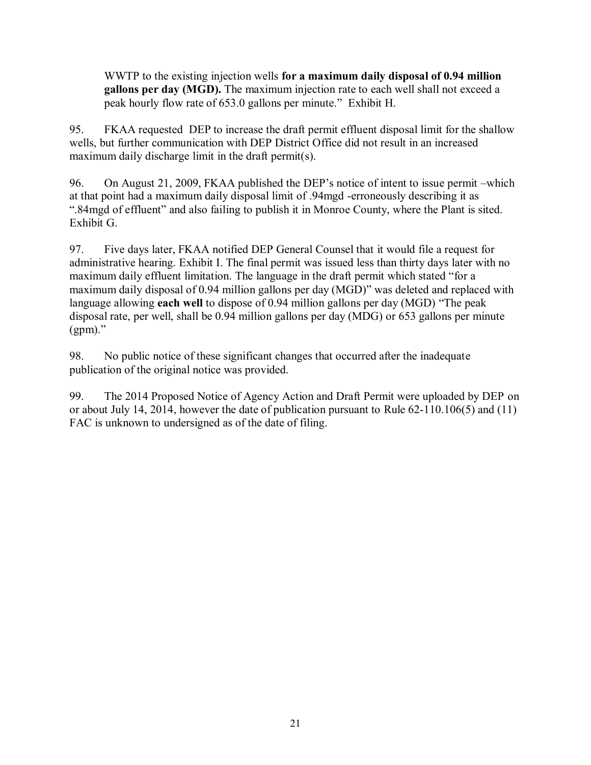WWTP to the existing injection wells **for a maximum daily disposal of 0.94 million gallons per day (MGD).** The maximum injection rate to each well shall not exceed a peak hourly flow rate of 653.0 gallons per minute." Exhibit H.

95. FKAA requested DEP to increase the draft permit effluent disposal limit for the shallow wells, but further communication with DEP District Office did not result in an increased maximum daily discharge limit in the draft permit(s).

96. On August 21, 2009, FKAA published the DEP's notice of intent to issue permit –which at that point had a maximum daily disposal limit of .94mgd -erroneously describing it as ".84mgd of effluent" and also failing to publish it in Monroe County, where the Plant is sited. Exhibit G.

97. Five days later, FKAA notified DEP General Counsel that it would file a request for administrative hearing. Exhibit I. The final permit was issued less than thirty days later with no maximum daily effluent limitation. The language in the draft permit which stated "for a maximum daily disposal of 0.94 million gallons per day (MGD)" was deleted and replaced with language allowing **each well** to dispose of 0.94 million gallons per day (MGD) "The peak disposal rate, per well, shall be 0.94 million gallons per day (MDG) or 653 gallons per minute  $(gpm)$ ."

98. No public notice of these significant changes that occurred after the inadequate publication of the original notice was provided.

99. The 2014 Proposed Notice of Agency Action and Draft Permit were uploaded by DEP on or about July 14, 2014, however the date of publication pursuant to Rule 62-110.106(5) and (11) FAC is unknown to undersigned as of the date of filing.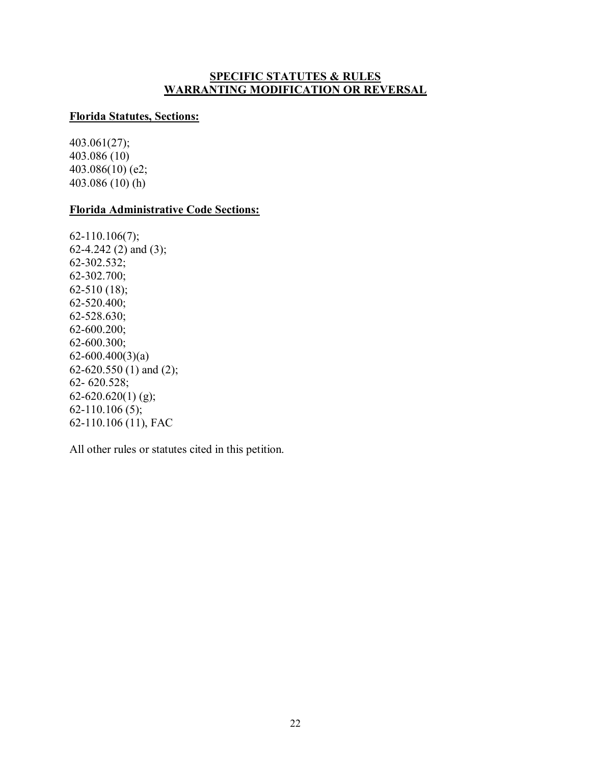## **SPECIFIC STATUTES & RULES WARRANTING MODIFICATION OR REVERSAL**

### **Florida Statutes, Sections:**

403.061(27); 403.086 (10) 403.086(10) (e2; 403.086 (10) (h)

## **Florida Administrative Code Sections:**

62-110.106(7); 62-4.242 (2) and (3); 62-302.532; 62-302.700; 62-510 (18); 62-520.400; 62-528.630; 62-600.200; 62-600.300;  $62-600.400(3)(a)$ 62-620.550 (1) and (2); 62- 620.528;  $62-620.620(1)$  (g); 62-110.106 (5); 62-110.106 (11), FAC

All other rules or statutes cited in this petition.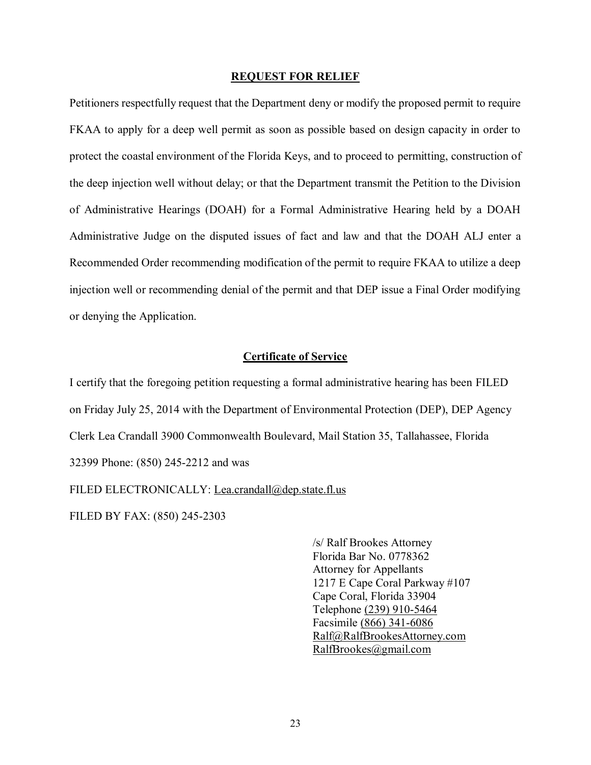#### **REQUEST FOR RELIEF**

Petitioners respectfully request that the Department deny or modify the proposed permit to require FKAA to apply for a deep well permit as soon as possible based on design capacity in order to protect the coastal environment of the Florida Keys, and to proceed to permitting, construction of the deep injection well without delay; or that the Department transmit the Petition to the Division of Administrative Hearings (DOAH) for a Formal Administrative Hearing held by a DOAH Administrative Judge on the disputed issues of fact and law and that the DOAH ALJ enter a Recommended Order recommending modification of the permit to require FKAA to utilize a deep injection well or recommending denial of the permit and that DEP issue a Final Order modifying or denying the Application.

### **Certificate of Service**

I certify that the foregoing petition requesting a formal administrative hearing has been FILED on Friday July 25, 2014 with the Department of Environmental Protection (DEP), DEP Agency Clerk Lea Crandall 3900 Commonwealth Boulevard, Mail Station 35, Tallahassee, Florida 32399 Phone: [\(850\) 245-2212](tel:%28850%29%20245-2212) and was FILED ELECTRONICALLY: Lea.crandall@dep.state.fl.us

FILED BY FAX: (850) 245-2303

/s/ Ralf Brookes Attorney Florida Bar No. 0778362 Attorney for Appellants 1217 E Cape Coral Parkway #107 Cape Coral, Florida 33904 Telephone [\(239\) 910-5464](tel:%28239%29%20910-5464)  Facsimile [\(866\) 341-6086](tel:%28866%29%20341-6086)  [Ralf@RalfBrookesAttorney.com](mailto:Ralf@RalfBrookesAttorney.com)  [RalfBrookes@gmail.com](mailto:RalfBrookes@gmail.com)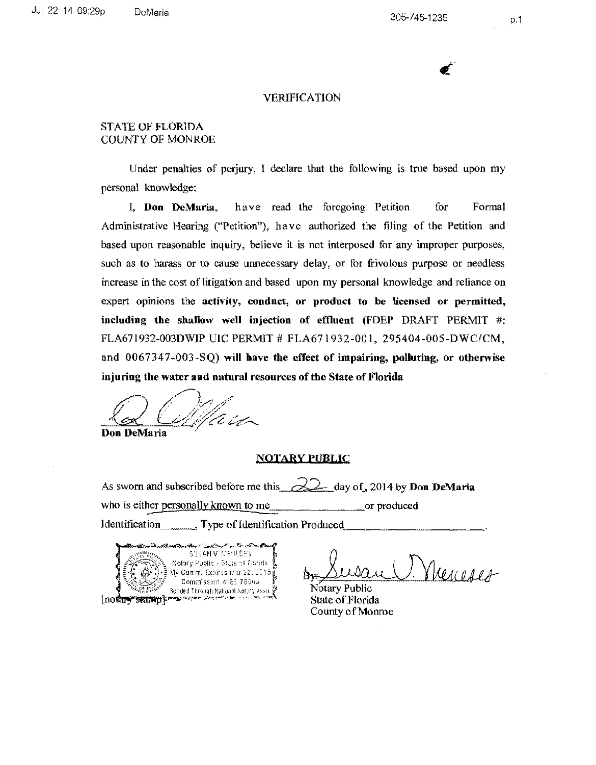305-7 45-1235

 $\epsilon'$ 

p.1

#### VERIFICATION

## STATE OF FLORTDA COUNTY OF MONROE

Under penalties of perjury, I declare that the following is true based upon my personal knowledge:

I, **Don DeMaria,** have read the foregoing Petition for Formal Administralive Hearing ("Petition"), have authorized the filing of the Petition and based upon reasonable inquiry, believe it is not interposed for any improper purposes, such as to harass or to cause unnecessary delay, or for frivolous purpose or needless increase in the cost of litigation and based upon my personal knowledge and reliance on expert opinions the **activity, conduct, or product to be licensed or permitted, including the shallow well injection of effiuent** (FDEP DRAFT PERMIT #: FLA671932-003DWIP UIC PERMIT # FLA671932-001, 295404-005-DWC/CM, and 0067347-003-SQ) **will have the effect of impairing, polluting, or otherwise injuring the water and natural resources of the State of Florida** 

 $\overline{\phantom{a}}$ £:)' **Don DeMaria** ·  $\bigcap$  / ,  $\bigcap$ <u>la Colffan</u>

#### **NOTARY PUBLIC**

As sworn and subscribed before me this  $\frac{22}{\sqrt{2}}$  day of, 2014 by **Don DeMaria** who is either personally known to me or produced Identification \_\_\_\_\_\_\_\_\_, Type of Identification Produced.

SUSAN V. MENESES Notary Public - State of Ebrida My Comm. Expires Mar 22, 2016 Commission # EE 76603 Bonded Through National Notary Assn. § nother stamp was a server

Susan V. Menceses

State of Florida County of Monroe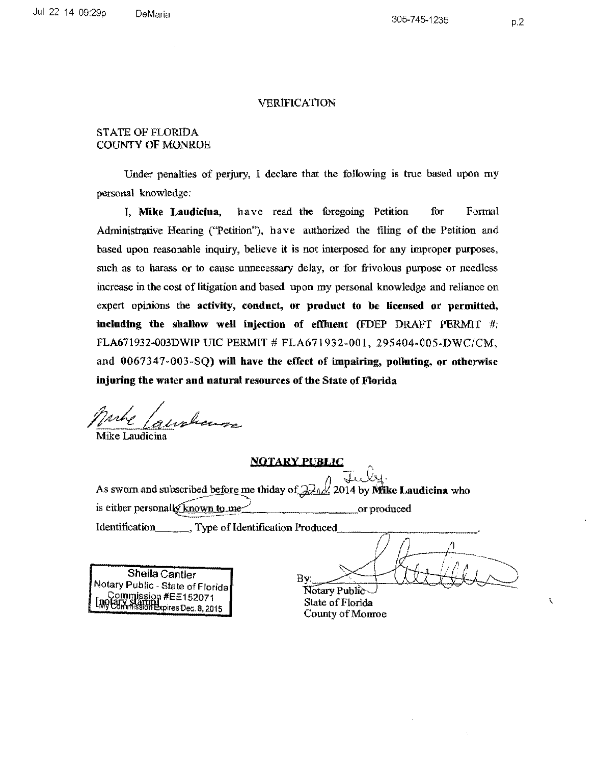#### VERIFICATION

### STATE OF FLORIDA COUNTY OF MONROE

Under penalties of perjury, I declare that the following is true based upon my personal knowledge:

I, Mike Laudicina, have read the foregoing Petition for Formal Administrative Hearing ("Petition"), have authorized the filing of the Petition and based upon reasonable inquiry, believe it is not interposed for any improper purposes, such as to harass or to cause unnecessary delay, or for frivolous purpose or needless increase in the cost of litigation and based upon my personal knowledge and reliance on expert opinions the activity, conduct, or product to be licensed or permitted, including the shallow well injection of effiuent (FDEP DRAFT PERMIT #: FLA671932-003DWIP UIC PERMIT # FLA671932-001, 295404-005-DWC/CM, and 0067347-003-SQ) will have the effect of impairing, polluting, or otherwise injuring the water and natural resources of the State of Florida

jJA~kL~

Mike Laudicina

#### **NOTARY PUBLIC**

As sworn and subscribed before me thiday of  $22_M/2014$  by Mike Laudicina who is either personally known to me $\angle$  or produced Identification , Type of Identification Produced

Sheila Cantler Notary Public - State of Florida  $\int_{\Gamma}$  Commission #EE152071 My Commission Expires Dec. 8, 2015

By:

Notary Public State of Florida County of Monroe

Í.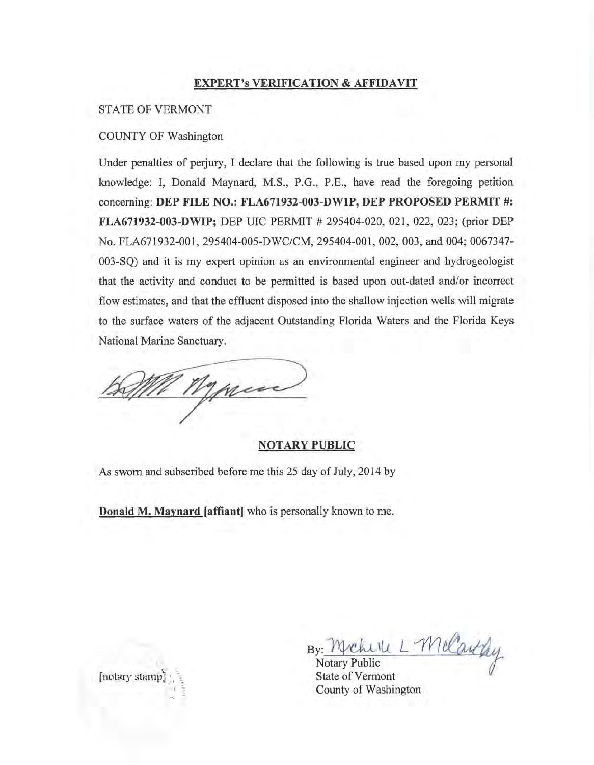## **EXPERT's VERIFICATION & AFFIDAVIT**

### STATE OF VERMONT

## COUNTY OF Washington

Under penalties of perjury, I declare that the following is true based upon my personal knowledge: I, Donald Maynard, M.S., P.G., P.E., have read the foregoing petition concerning: **DEP FILE NO.: FLA671932-003-DW1P, DEP PROPOSED PERMIT** #: **FLA671932-003-DWIP;** DEP UIC PERMIT # 295404-020, 021, 022, 023; (prior DEP No. FLA671932-001, 295404-005-DWC/CM, 295404-001, 002, 003, and 004; 0067347- 003-SQ) and it is my expert opinion as an environmental engineer and hydrogeologist that the activity and conduct to be permitted is based upon out-dated and/or incorrect flow estimates, and that the effluent disposed into the shallow injection wells will migrate to the surface waters of the adjacent Outstanding Florida Waters and the Florida Keys National Marine Sanctuary.

men

### **NOTARY PUBLIC**

As sworn and subscribed before me this 25 day of July, 2014 by

**Donald M. Maynard [affiant]** who is personally known to me.

By: y<u>: MyChUlU L</u><br>Notary Public <sup>L</sup>*:'YYI* ~

State of Vermont County of Washington



*·-,:* ;: